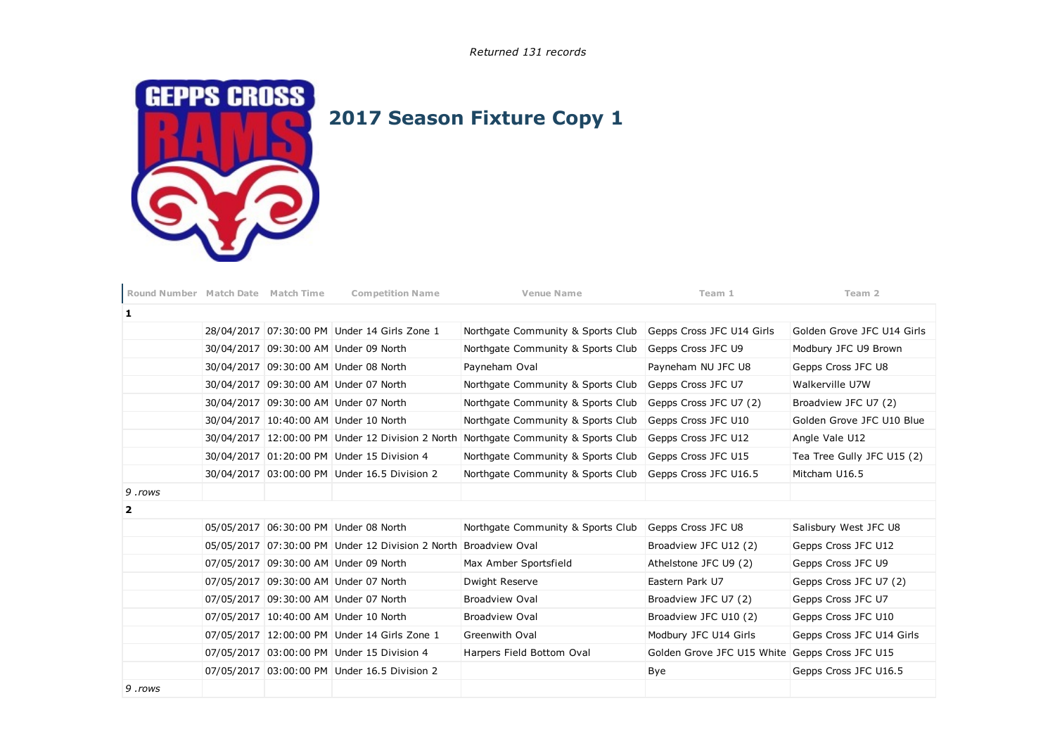Returned 131 records



## 2017 Season Fixture Copy 1

| Round Number Match Date Match Time |  | <b>Competition Name</b>                                         | <b>Venue Name</b>                                                                  | Team 1                     | Team 2                     |
|------------------------------------|--|-----------------------------------------------------------------|------------------------------------------------------------------------------------|----------------------------|----------------------------|
| 1                                  |  |                                                                 |                                                                                    |                            |                            |
|                                    |  | 28/04/2017 07:30:00 PM Under 14 Girls Zone 1                    | Northgate Community & Sports Club                                                  | Gepps Cross JFC U14 Girls  | Golden Grove JFC U14 Girls |
|                                    |  | 30/04/2017 09:30:00 AM Under 09 North                           | Northgate Community & Sports Club                                                  | Gepps Cross JFC U9         | Modbury JFC U9 Brown       |
|                                    |  | 30/04/2017 09:30:00 AM Under 08 North                           | Payneham Oval                                                                      | Payneham NU JFC U8         | Gepps Cross JFC U8         |
|                                    |  | 30/04/2017 09:30:00 AM Under 07 North                           | Northgate Community & Sports Club                                                  | Gepps Cross JFC U7         | Walkerville U7W            |
|                                    |  | 30/04/2017 09:30:00 AM Under 07 North                           | Northgate Community & Sports Club                                                  | Gepps Cross JFC U7 (2)     | Broadview JFC U7 (2)       |
|                                    |  | 30/04/2017 10:40:00 AM Under 10 North                           | Northgate Community & Sports Club                                                  | Gepps Cross JFC U10        | Golden Grove JFC U10 Blue  |
|                                    |  |                                                                 | 30/04/2017 12:00:00 PM Under 12 Division 2 North Northgate Community & Sports Club | Gepps Cross JFC U12        | Angle Vale U12             |
|                                    |  | 30/04/2017 01:20:00 PM Under 15 Division 4                      | Northgate Community & Sports Club                                                  | Gepps Cross JFC U15        | Tea Tree Gully JFC U15 (2) |
|                                    |  | 30/04/2017 03:00:00 PM Under 16.5 Division 2                    | Northgate Community & Sports Club                                                  | Gepps Cross JFC U16.5      | Mitcham U16.5              |
| 9.rows                             |  |                                                                 |                                                                                    |                            |                            |
| $\overline{2}$                     |  |                                                                 |                                                                                    |                            |                            |
|                                    |  | 05/05/2017 06:30:00 PM Under 08 North                           | Northgate Community & Sports Club                                                  | Gepps Cross JFC U8         | Salisbury West JFC U8      |
|                                    |  | 05/05/2017 07:30:00 PM Under 12 Division 2 North Broadview Oval |                                                                                    | Broadview JFC U12 (2)      | Gepps Cross JFC U12        |
|                                    |  | 07/05/2017 09:30:00 AM Under 09 North                           | Max Amber Sportsfield                                                              | Athelstone JFC U9 (2)      | Gepps Cross JFC U9         |
|                                    |  | 07/05/2017 09:30:00 AM Under 07 North                           | Dwight Reserve                                                                     | Eastern Park U7            | Gepps Cross JFC U7 (2)     |
|                                    |  | 07/05/2017 09:30:00 AM Under 07 North                           | <b>Broadview Oval</b>                                                              | Broadview JFC U7 (2)       | Gepps Cross JFC U7         |
|                                    |  | 07/05/2017 10:40:00 AM Under 10 North                           | <b>Broadview Oval</b>                                                              | Broadview JFC U10 (2)      | Gepps Cross JFC U10        |
|                                    |  | 07/05/2017 12:00:00 PM Under 14 Girls Zone 1                    | Greenwith Oval                                                                     | Modbury JFC U14 Girls      | Gepps Cross JFC U14 Girls  |
|                                    |  | 07/05/2017 03:00:00 PM Under 15 Division 4                      | Harpers Field Bottom Oval                                                          | Golden Grove JFC U15 White | Gepps Cross JFC U15        |
|                                    |  | 07/05/2017 03:00:00 PM Under 16.5 Division 2                    |                                                                                    | Bye                        | Gepps Cross JFC U16.5      |
| 9.rows                             |  |                                                                 |                                                                                    |                            |                            |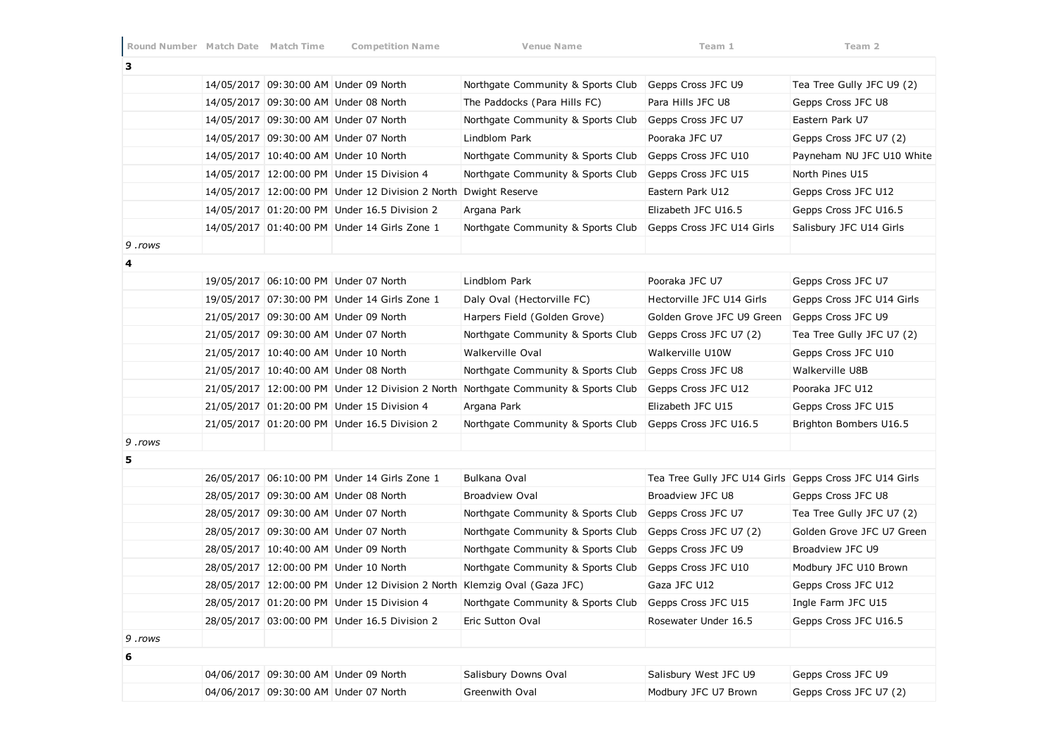| з      |  |                                                                          |                                                                                    |                                                        |                           |
|--------|--|--------------------------------------------------------------------------|------------------------------------------------------------------------------------|--------------------------------------------------------|---------------------------|
|        |  | 14/05/2017 09:30:00 AM Under 09 North                                    | Northgate Community & Sports Club                                                  | Gepps Cross JFC U9                                     | Tea Tree Gully JFC U9 (2) |
|        |  | 14/05/2017 09:30:00 AM Under 08 North                                    | The Paddocks (Para Hills FC)                                                       | Para Hills JFC U8                                      | Gepps Cross JFC U8        |
|        |  | 14/05/2017 09:30:00 AM Under 07 North                                    | Northgate Community & Sports Club                                                  | Gepps Cross JFC U7                                     | Eastern Park U7           |
|        |  | 14/05/2017 09:30:00 AM Under 07 North                                    | Lindblom Park                                                                      | Pooraka JFC U7                                         | Gepps Cross JFC U7 (2)    |
|        |  | 14/05/2017 10:40:00 AM Under 10 North                                    | Northgate Community & Sports Club                                                  | Gepps Cross JFC U10                                    | Payneham NU JFC U10 White |
|        |  | 14/05/2017 12:00:00 PM Under 15 Division 4                               | Northgate Community & Sports Club                                                  | Gepps Cross JFC U15                                    | North Pines U15           |
|        |  | 14/05/2017 12:00:00 PM Under 12 Division 2 North Dwight Reserve          |                                                                                    | Eastern Park U12                                       | Gepps Cross JFC U12       |
|        |  | 14/05/2017 01:20:00 PM Under 16.5 Division 2                             | Argana Park                                                                        | Elizabeth JFC U16.5                                    | Gepps Cross JFC U16.5     |
|        |  | 14/05/2017 01:40:00 PM Under 14 Girls Zone 1                             | Northgate Community & Sports Club                                                  | Gepps Cross JFC U14 Girls                              | Salisbury JFC U14 Girls   |
| 9.rows |  |                                                                          |                                                                                    |                                                        |                           |
| 4      |  |                                                                          |                                                                                    |                                                        |                           |
|        |  | 19/05/2017 06:10:00 PM Under 07 North                                    | Lindblom Park                                                                      | Pooraka JFC U7                                         | Gepps Cross JFC U7        |
|        |  | 19/05/2017 07:30:00 PM Under 14 Girls Zone 1                             | Daly Oval (Hectorville FC)                                                         | Hectorville JFC U14 Girls                              | Gepps Cross JFC U14 Girls |
|        |  | 21/05/2017 09:30:00 AM Under 09 North                                    | Harpers Field (Golden Grove)                                                       | Golden Grove JFC U9 Green                              | Gepps Cross JFC U9        |
|        |  | 21/05/2017 09:30:00 AM Under 07 North                                    | Northgate Community & Sports Club                                                  | Gepps Cross JFC U7 (2)                                 | Tea Tree Gully JFC U7 (2) |
|        |  | 21/05/2017 10:40:00 AM Under 10 North                                    | Walkerville Oval                                                                   | Walkerville U10W                                       | Gepps Cross JFC U10       |
|        |  | 21/05/2017 10:40:00 AM Under 08 North                                    | Northgate Community & Sports Club                                                  | Gepps Cross JFC U8                                     | Walkerville U8B           |
|        |  |                                                                          | 21/05/2017 12:00:00 PM Under 12 Division 2 North Northgate Community & Sports Club | Gepps Cross JFC U12                                    | Pooraka JFC U12           |
|        |  | 21/05/2017 01:20:00 PM Under 15 Division 4                               | Argana Park                                                                        | Elizabeth JFC U15                                      | Gepps Cross JFC U15       |
|        |  | 21/05/2017 01:20:00 PM Under 16.5 Division 2                             | Northgate Community & Sports Club                                                  | Gepps Cross JFC U16.5                                  | Brighton Bombers U16.5    |
| 9.rows |  |                                                                          |                                                                                    |                                                        |                           |
| 5      |  |                                                                          |                                                                                    |                                                        |                           |
|        |  | 26/05/2017 06:10:00 PM Under 14 Girls Zone 1                             | Bulkana Oval                                                                       | Tea Tree Gully JFC U14 Girls Gepps Cross JFC U14 Girls |                           |
|        |  | 28/05/2017 09:30:00 AM Under 08 North                                    | <b>Broadview Oval</b>                                                              | Broadview JFC U8                                       | Gepps Cross JFC U8        |
|        |  | 28/05/2017 09:30:00 AM Under 07 North                                    | Northgate Community & Sports Club                                                  | Gepps Cross JFC U7                                     | Tea Tree Gully JFC U7 (2) |
|        |  | 28/05/2017 09:30:00 AM Under 07 North                                    | Northgate Community & Sports Club                                                  | Gepps Cross JFC U7 (2)                                 | Golden Grove JFC U7 Green |
|        |  | 28/05/2017 10:40:00 AM Under 09 North                                    | Northgate Community & Sports Club                                                  | Gepps Cross JFC U9                                     | Broadview JFC U9          |
|        |  | 28/05/2017 12:00:00 PM Under 10 North                                    | Northgate Community & Sports Club                                                  | Gepps Cross JFC U10                                    | Modbury JFC U10 Brown     |
|        |  | 28/05/2017 12:00:00 PM Under 12 Division 2 North Klemzig Oval (Gaza JFC) |                                                                                    | Gaza JFC U12                                           | Gepps Cross JFC U12       |
|        |  | 28/05/2017 01:20:00 PM Under 15 Division 4                               | Northgate Community & Sports Club                                                  | Gepps Cross JFC U15                                    | Ingle Farm JFC U15        |
|        |  | 28/05/2017 03:00:00 PM Under 16.5 Division 2                             | Eric Sutton Oval                                                                   | Rosewater Under 16.5                                   | Gepps Cross JFC U16.5     |
| 9.rows |  |                                                                          |                                                                                    |                                                        |                           |
| 6      |  |                                                                          |                                                                                    |                                                        |                           |
|        |  | 04/06/2017 09:30:00 AM Under 09 North                                    | Salisbury Downs Oval                                                               | Salisbury West JFC U9                                  | Gepps Cross JFC U9        |
|        |  | 04/06/2017 09:30:00 AM Under 07 North                                    | Greenwith Oval                                                                     | Modbury JFC U7 Brown                                   | Gepps Cross JFC U7 (2)    |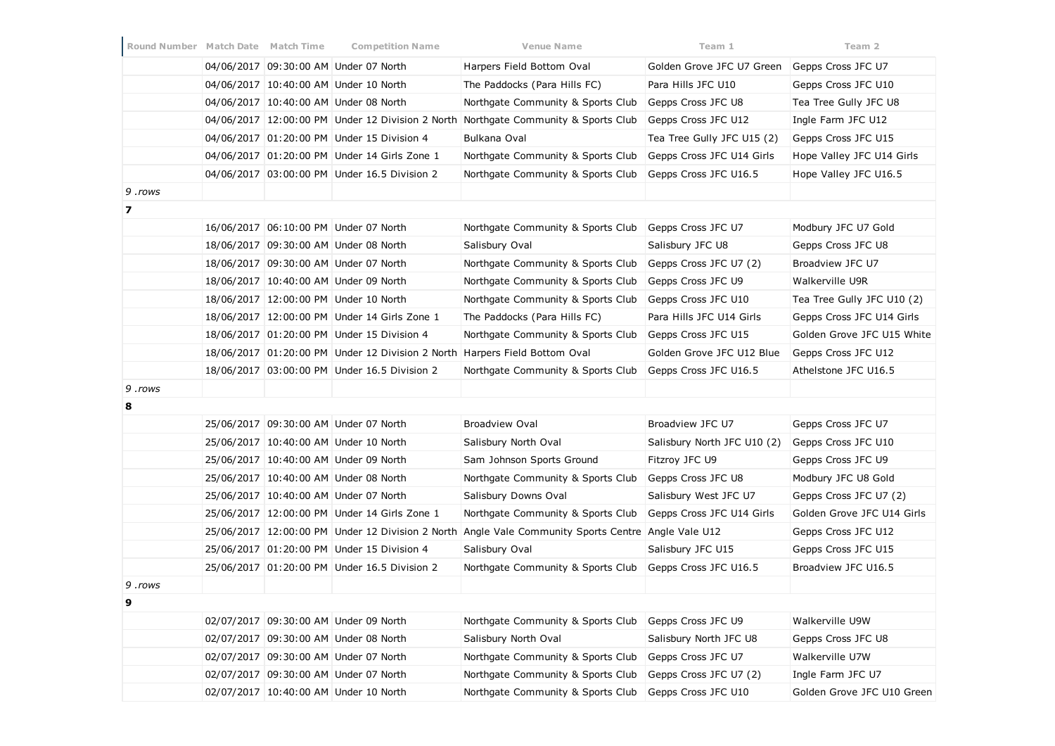| Round Number Match Date Match Time |  | <b>Competition Name</b>                      | Venue Name                                                                                         | Team 1                      | Team 2                     |
|------------------------------------|--|----------------------------------------------|----------------------------------------------------------------------------------------------------|-----------------------------|----------------------------|
|                                    |  | 04/06/2017 09:30:00 AM Under 07 North        | Harpers Field Bottom Oval                                                                          | Golden Grove JFC U7 Green   | Gepps Cross JFC U7         |
|                                    |  | 04/06/2017 10:40:00 AM Under 10 North        | The Paddocks (Para Hills FC)                                                                       | Para Hills JFC U10          | Gepps Cross JFC U10        |
|                                    |  | 04/06/2017 10:40:00 AM Under 08 North        | Northgate Community & Sports Club                                                                  | Gepps Cross JFC U8          | Tea Tree Gully JFC U8      |
|                                    |  |                                              | 04/06/2017 12:00:00 PM Under 12 Division 2 North Northgate Community & Sports Club                 | Gepps Cross JFC U12         | Ingle Farm JFC U12         |
|                                    |  | 04/06/2017 01:20:00 PM Under 15 Division 4   | Bulkana Oval                                                                                       | Tea Tree Gully JFC U15 (2)  | Gepps Cross JFC U15        |
|                                    |  | 04/06/2017 01:20:00 PM Under 14 Girls Zone 1 | Northgate Community & Sports Club                                                                  | Gepps Cross JFC U14 Girls   | Hope Valley JFC U14 Girls  |
|                                    |  | 04/06/2017 03:00:00 PM Under 16.5 Division 2 | Northgate Community & Sports Club                                                                  | Gepps Cross JFC U16.5       | Hope Valley JFC U16.5      |
| 9.rows                             |  |                                              |                                                                                                    |                             |                            |
| $\overline{\phantom{a}}$           |  |                                              |                                                                                                    |                             |                            |
|                                    |  | 16/06/2017 06:10:00 PM Under 07 North        | Northgate Community & Sports Club                                                                  | Gepps Cross JFC U7          | Modbury JFC U7 Gold        |
|                                    |  | 18/06/2017 09:30:00 AM Under 08 North        | Salisbury Oval                                                                                     | Salisbury JFC U8            | Gepps Cross JFC U8         |
|                                    |  | 18/06/2017 09:30:00 AM Under 07 North        | Northgate Community & Sports Club                                                                  | Gepps Cross JFC U7 (2)      | Broadview JFC U7           |
|                                    |  | 18/06/2017 10:40:00 AM Under 09 North        | Northgate Community & Sports Club                                                                  | Gepps Cross JFC U9          | Walkerville U9R            |
|                                    |  | 18/06/2017 12:00:00 PM Under 10 North        | Northgate Community & Sports Club                                                                  | Gepps Cross JFC U10         | Tea Tree Gully JFC U10 (2) |
|                                    |  | 18/06/2017 12:00:00 PM Under 14 Girls Zone 1 | The Paddocks (Para Hills FC)                                                                       | Para Hills JFC U14 Girls    | Gepps Cross JFC U14 Girls  |
|                                    |  | 18/06/2017 01:20:00 PM Under 15 Division 4   | Northgate Community & Sports Club                                                                  | Gepps Cross JFC U15         | Golden Grove JFC U15 White |
|                                    |  |                                              | 18/06/2017 01:20:00 PM Under 12 Division 2 North Harpers Field Bottom Oval                         | Golden Grove JFC U12 Blue   | Gepps Cross JFC U12        |
|                                    |  | 18/06/2017 03:00:00 PM Under 16.5 Division 2 | Northgate Community & Sports Club                                                                  | Gepps Cross JFC U16.5       | Athelstone JFC U16.5       |
| 9.rows                             |  |                                              |                                                                                                    |                             |                            |
| 8                                  |  |                                              |                                                                                                    |                             |                            |
|                                    |  | 25/06/2017 09:30:00 AM Under 07 North        | <b>Broadview Oval</b>                                                                              | Broadview JFC U7            | Gepps Cross JFC U7         |
|                                    |  | 25/06/2017 10:40:00 AM Under 10 North        | Salisbury North Oval                                                                               | Salisbury North JFC U10 (2) | Gepps Cross JFC U10        |
|                                    |  | 25/06/2017 10:40:00 AM Under 09 North        | Sam Johnson Sports Ground                                                                          | Fitzroy JFC U9              | Gepps Cross JFC U9         |
|                                    |  | 25/06/2017 10:40:00 AM Under 08 North        | Northgate Community & Sports Club                                                                  | Gepps Cross JFC U8          | Modbury JFC U8 Gold        |
|                                    |  | 25/06/2017 10:40:00 AM Under 07 North        | Salisbury Downs Oval                                                                               | Salisbury West JFC U7       | Gepps Cross JFC U7 (2)     |
|                                    |  | 25/06/2017 12:00:00 PM Under 14 Girls Zone 1 | Northgate Community & Sports Club                                                                  | Gepps Cross JFC U14 Girls   | Golden Grove JFC U14 Girls |
|                                    |  |                                              | 25/06/2017 12:00:00 PM Under 12 Division 2 North Angle Vale Community Sports Centre Angle Vale U12 |                             | Gepps Cross JFC U12        |
|                                    |  | 25/06/2017 01:20:00 PM Under 15 Division 4   | Salisbury Oval                                                                                     | Salisbury JFC U15           | Gepps Cross JFC U15        |
|                                    |  | 25/06/2017 01:20:00 PM Under 16.5 Division 2 | Northgate Community & Sports Club                                                                  | Gepps Cross JFC U16.5       | Broadview JFC U16.5        |
| 9.rows                             |  |                                              |                                                                                                    |                             |                            |
|                                    |  |                                              |                                                                                                    |                             |                            |
|                                    |  | 02/07/2017 09:30:00 AM Under 09 North        | Northgate Community & Sports Club                                                                  | Gepps Cross JFC U9          | Walkerville U9W            |
|                                    |  | 02/07/2017 09:30:00 AM Under 08 North        | Salisbury North Oval                                                                               | Salisbury North JFC U8      | Gepps Cross JFC U8         |
|                                    |  | 02/07/2017 09:30:00 AM Under 07 North        | Northgate Community & Sports Club                                                                  | Gepps Cross JFC U7          | Walkerville U7W            |
|                                    |  | 02/07/2017 09:30:00 AM Under 07 North        | Northgate Community & Sports Club                                                                  | Gepps Cross JFC U7 (2)      | Ingle Farm JFC U7          |
|                                    |  | 02/07/2017 10:40:00 AM Under 10 North        | Northgate Community & Sports Club                                                                  | Gepps Cross JFC U10         | Golden Grove JFC U10 Green |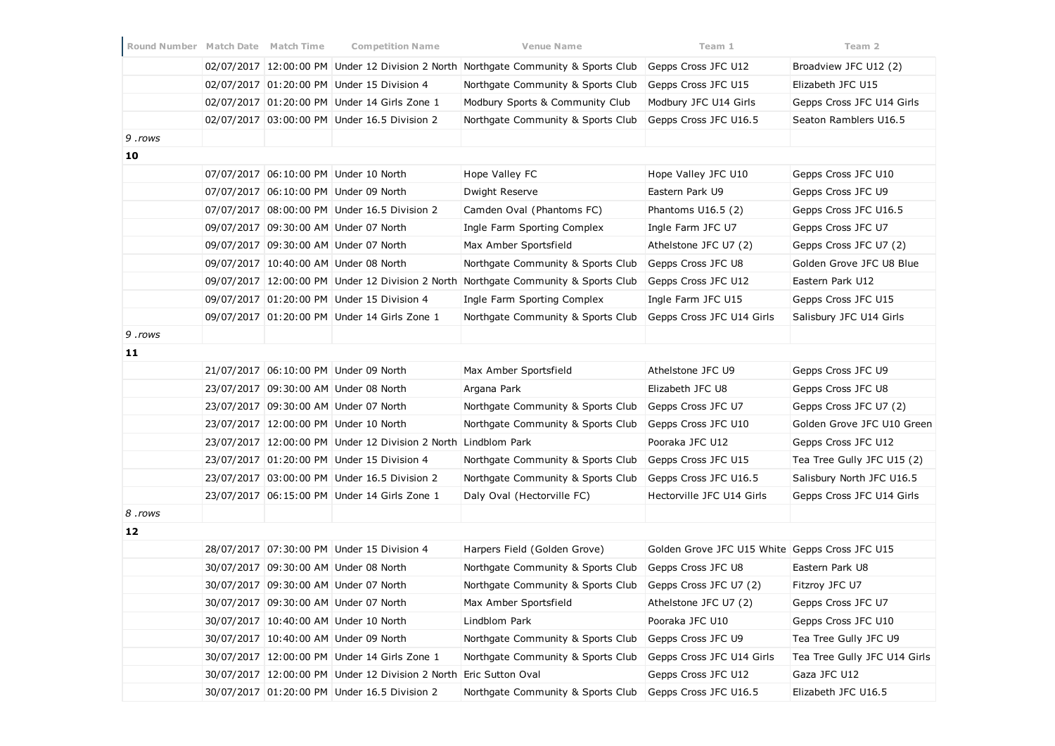| Round Number Match Date Match Time |  | <b>Competition Name</b>                                        | <b>Venue Name</b>                                                                  | Team 1                                         | Team 2                       |
|------------------------------------|--|----------------------------------------------------------------|------------------------------------------------------------------------------------|------------------------------------------------|------------------------------|
|                                    |  |                                                                | 02/07/2017 12:00:00 PM Under 12 Division 2 North Northgate Community & Sports Club | Gepps Cross JFC U12                            | Broadview JFC U12 (2)        |
|                                    |  | 02/07/2017 01:20:00 PM Under 15 Division 4                     | Northgate Community & Sports Club                                                  | Gepps Cross JFC U15                            | Elizabeth JFC U15            |
|                                    |  | 02/07/2017 01:20:00 PM Under 14 Girls Zone 1                   | Modbury Sports & Community Club                                                    | Modbury JFC U14 Girls                          | Gepps Cross JFC U14 Girls    |
|                                    |  | 02/07/2017 03:00:00 PM Under 16.5 Division 2                   | Northgate Community & Sports Club                                                  | Gepps Cross JFC U16.5                          | Seaton Ramblers U16.5        |
| 9.rows                             |  |                                                                |                                                                                    |                                                |                              |
| 10                                 |  |                                                                |                                                                                    |                                                |                              |
|                                    |  | 07/07/2017 06:10:00 PM Under 10 North                          | Hope Valley FC                                                                     | Hope Valley JFC U10                            | Gepps Cross JFC U10          |
|                                    |  | 07/07/2017 06:10:00 PM Under 09 North                          | Dwight Reserve                                                                     | Eastern Park U9                                | Gepps Cross JFC U9           |
|                                    |  | 07/07/2017 08:00:00 PM Under 16.5 Division 2                   | Camden Oval (Phantoms FC)                                                          | Phantoms U16.5 (2)                             | Gepps Cross JFC U16.5        |
|                                    |  | 09/07/2017 09:30:00 AM Under 07 North                          | Ingle Farm Sporting Complex                                                        | Ingle Farm JFC U7                              | Gepps Cross JFC U7           |
|                                    |  | 09/07/2017 09:30:00 AM Under 07 North                          | Max Amber Sportsfield                                                              | Athelstone JFC U7 (2)                          | Gepps Cross JFC U7 (2)       |
|                                    |  | 09/07/2017 10:40:00 AM Under 08 North                          | Northgate Community & Sports Club                                                  | Gepps Cross JFC U8                             | Golden Grove JFC U8 Blue     |
|                                    |  | 09/07/2017 12:00:00 PM Under 12 Division 2 North               | Northgate Community & Sports Club                                                  | Gepps Cross JFC U12                            | Eastern Park U12             |
|                                    |  | 09/07/2017 01:20:00 PM Under 15 Division 4                     | Ingle Farm Sporting Complex                                                        | Ingle Farm JFC U15                             | Gepps Cross JFC U15          |
|                                    |  | 09/07/2017 01:20:00 PM Under 14 Girls Zone 1                   | Northgate Community & Sports Club                                                  | Gepps Cross JFC U14 Girls                      | Salisbury JFC U14 Girls      |
| 9.rows                             |  |                                                                |                                                                                    |                                                |                              |
| 11                                 |  |                                                                |                                                                                    |                                                |                              |
|                                    |  | 21/07/2017 06:10:00 PM Under 09 North                          | Max Amber Sportsfield                                                              | Athelstone JFC U9                              | Gepps Cross JFC U9           |
|                                    |  | 23/07/2017 09:30:00 AM Under 08 North                          | Argana Park                                                                        | Elizabeth JFC U8                               | Gepps Cross JFC U8           |
|                                    |  | 23/07/2017 09:30:00 AM Under 07 North                          | Northgate Community & Sports Club                                                  | Gepps Cross JFC U7                             | Gepps Cross JFC U7 (2)       |
|                                    |  | 23/07/2017 12:00:00 PM Under 10 North                          | Northgate Community & Sports Club                                                  | Gepps Cross JFC U10                            | Golden Grove JFC U10 Green   |
|                                    |  | 23/07/2017 12:00:00 PM Under 12 Division 2 North Lindblom Park |                                                                                    | Pooraka JFC U12                                | Gepps Cross JFC U12          |
|                                    |  | 23/07/2017 01:20:00 PM Under 15 Division 4                     | Northgate Community & Sports Club                                                  | Gepps Cross JFC U15                            | Tea Tree Gully JFC U15 (2)   |
|                                    |  | 23/07/2017 03:00:00 PM Under 16.5 Division 2                   | Northgate Community & Sports Club                                                  | Gepps Cross JFC U16.5                          | Salisbury North JFC U16.5    |
|                                    |  | 23/07/2017 06:15:00 PM Under 14 Girls Zone 1                   | Daly Oval (Hectorville FC)                                                         | Hectorville JFC U14 Girls                      | Gepps Cross JFC U14 Girls    |
| 8.rows                             |  |                                                                |                                                                                    |                                                |                              |
| 12                                 |  |                                                                |                                                                                    |                                                |                              |
|                                    |  | 28/07/2017 07:30:00 PM Under 15 Division 4                     | Harpers Field (Golden Grove)                                                       | Golden Grove JFC U15 White Gepps Cross JFC U15 |                              |
|                                    |  | 30/07/2017 09:30:00 AM Under 08 North                          | Northgate Community & Sports Club                                                  | Gepps Cross JFC U8                             | Eastern Park U8              |
|                                    |  | 30/07/2017 09:30:00 AM Under 07 North                          | Northgate Community & Sports Club                                                  | Gepps Cross JFC U7 (2)                         | Fitzroy JFC U7               |
|                                    |  | 30/07/2017 09:30:00 AM Under 07 North                          | Max Amber Sportsfield                                                              | Athelstone JFC U7 (2)                          | Gepps Cross JFC U7           |
|                                    |  | 30/07/2017 10:40:00 AM Under 10 North                          | Lindblom Park                                                                      | Pooraka JFC U10                                | Gepps Cross JFC U10          |
|                                    |  | 30/07/2017 10:40:00 AM Under 09 North                          | Northgate Community & Sports Club                                                  | Gepps Cross JFC U9                             | Tea Tree Gully JFC U9        |
|                                    |  | 30/07/2017 12:00:00 PM Under 14 Girls Zone 1                   | Northgate Community & Sports Club                                                  | Gepps Cross JFC U14 Girls                      | Tea Tree Gully JFC U14 Girls |
|                                    |  | 30/07/2017 12:00:00 PM Under 12 Division 2 North               | Eric Sutton Oval                                                                   | Gepps Cross JFC U12                            | Gaza JFC U12                 |
|                                    |  | 30/07/2017 01:20:00 PM Under 16.5 Division 2                   | Northgate Community & Sports Club                                                  | Gepps Cross JFC U16.5                          | Elizabeth JFC U16.5          |